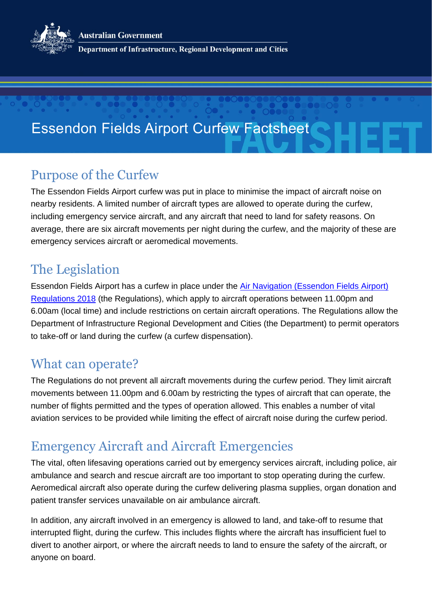**Australian Government** 



Department of Infrastructure, Regional Development and Cities

# Essendon Fields Airport Curfew Factsheet

#### Purpose of the Curfew

The Essendon Fields Airport curfew was put in place to minimise the impact of aircraft noise on nearby residents. A limited number of aircraft types are allowed to operate during the curfew, including emergency service aircraft, and any aircraft that need to land for safety reasons. On average, there are six aircraft movements per night during the curfew, and the majority of these are emergency services aircraft or aeromedical movements.

### The Legislation

Essendon Fields Airport has a curfew in place under the [Air Navigation \(Essendon Fields](https://www.legislation.gov.au/Details/F2018L01687) Airport) [Regulations 2018](https://www.legislation.gov.au/Details/F2018L01687) (the Regulations), which apply to aircraft operations between 11.00pm and 6.00am (local time) and include restrictions on certain aircraft operations. The Regulations allow the Department of Infrastructure Regional Development and Cities (the Department) to permit operators to take-off or land during the curfew (a curfew dispensation).

#### What can operate?

The Regulations do not prevent all aircraft movements during the curfew period. They limit aircraft movements between 11.00pm and 6.00am by restricting the types of aircraft that can operate, the number of flights permitted and the types of operation allowed. This enables a number of vital aviation services to be provided while limiting the effect of aircraft noise during the curfew period.

### Emergency Aircraft and Aircraft Emergencies

The vital, often lifesaving operations carried out by emergency services aircraft, including police, air ambulance and search and rescue aircraft are too important to stop operating during the curfew. Aeromedical aircraft also operate during the curfew delivering plasma supplies, organ donation and patient transfer services unavailable on air ambulance aircraft.

In addition, any aircraft involved in an emergency is allowed to land, and take-off to resume that interrupted flight, during the curfew. This includes flights where the aircraft has insufficient fuel to divert to another airport, or where the aircraft needs to land to ensure the safety of the aircraft, or anyone on board.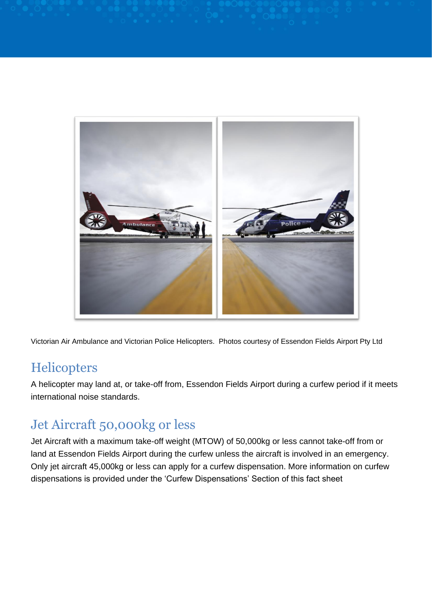

Victorian Air Ambulance and Victorian Police Helicopters. Photos courtesy of Essendon Fields Airport Pty Ltd

#### **Helicopters**

A helicopter may land at, or take-off from, Essendon Fields Airport during a curfew period if it meets international noise standards.

### Jet Aircraft 50,000kg or less

Jet Aircraft with a maximum take-off weight (MTOW) of 50,000kg or less cannot take-off from or land at Essendon Fields Airport during the curfew unless the aircraft is involved in an emergency. Only jet aircraft 45,000kg or less can apply for a curfew dispensation. More information on curfew dispensations is provided under the 'Curfew Dispensations' Section of this fact sheet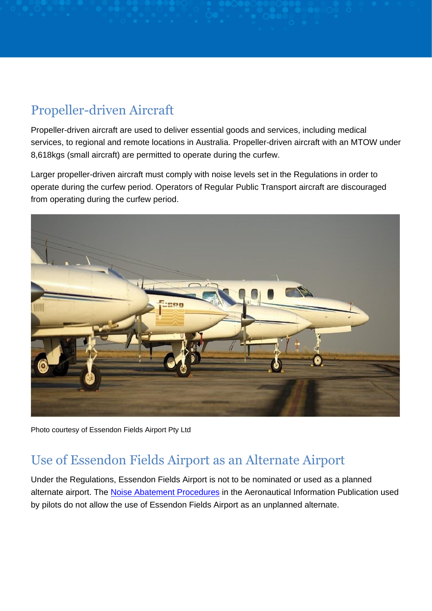# Propeller-driven Aircraft

Propeller-driven aircraft are used to deliver essential goods and services, including medical services, to regional and remote locations in Australia. Propeller-driven aircraft with an MTOW under 8,618kgs (small aircraft) are permitted to operate during the curfew.

Larger propeller-driven aircraft must comply with noise levels set in the Regulations in order to operate during the curfew period. Operators of Regular Public Transport aircraft are discouraged from operating during the curfew period.



Photo courtesy of Essendon Fields Airport Pty Ltd

#### Use of Essendon Fields Airport as an Alternate Airport

Under the Regulations, Essendon Fields Airport is not to be nominated or used as a planned alternate airport. The [Noise Abatement Procedures](http://www.airservicesaustralia.com/aircraftnoise/aircraft-operations/noise-abatement-procedures/) in the Aeronautical Information Publication used by pilots do not allow the use of Essendon Fields Airport as an unplanned alternate.